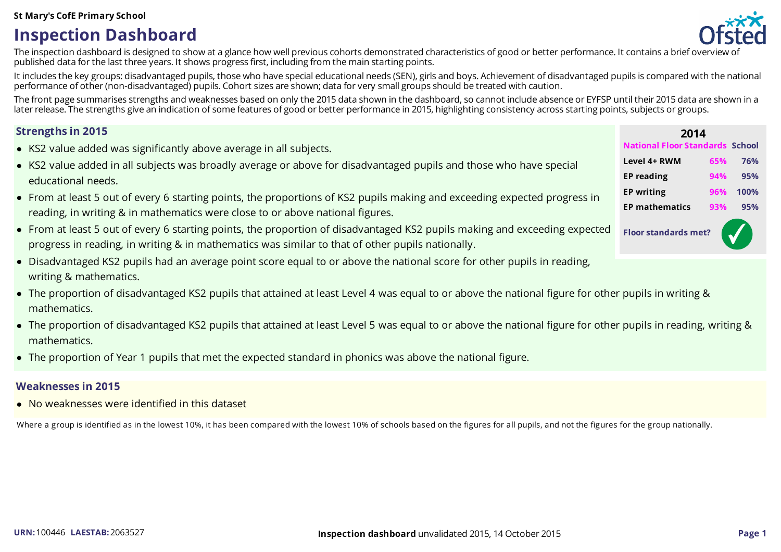## **Inspection Dashboard**



The inspection dashboard is designed to show at a glance how well previous cohorts demonstrated characteristics of good or better performance. It contains a brief overview of published data for the last three years. It shows progressfirst, including from the main starting points.

It includes the key groups: disadvantaged pupils, those who have special educational needs (SEN), girls and boys. Achievement of disadvantaged pupils is compared with the national performance of other (non-disadvantaged) pupils. Cohort sizes are shown; data for very small groupsshould be treated with caution.

The front page summarises strengths and weaknesses based on only the 2015 data shown in the dashboard, so cannot include absence or EYFSP until their 2015 data are shown in a later release. The strengths give an indication of some features of good or better performance in 2015, highlighting consistency across starting points, subjects or groups.

- KS2 value added was significantly above average in all subjects.
- KS2 value added in all subjects was broadly average or above for disadvantaged pupils and those who have special educational needs.
- From at least 5 out of every 6 starting points, the proportions of KS2 pupils making and exceeding expected progress in reading, in writing & in mathematics were close to or above national figures.
- From at least 5 out of every 6 starting points, the proportion of disadvantaged KS2 pupils making and exceeding expected progress in reading, in writing & in mathematics was similar to that of other pupils nationally.
- Disadvantaged KS2 pupils had an average point score equal to or above the national score for other pupils in reading, writing & mathematics.
- The proportion of disadvantaged KS2 pupils that attained at least Level 4 was equal to or above the national figure for other pupils in writing & mathematics.
- The proportion of disadvantaged KS2 pupils that attained at least Level 5 was equal to or above the national figure for other pupils in reading, writing & mathematics.
- The proportion of Year 1 pupils that met the expected standard in phonics was above the national figure.

### **Weaknesses in 2015**

No weaknesses were identified in this dataset

Where a group is identified as in the lowest 10%, it has been compared with the lowest 10% of schools based on the figures for all pupils, and not the figures for the group nationally.

| <b>Strengths in 2015</b>                                                                                                   | 2014                           |     |               |
|----------------------------------------------------------------------------------------------------------------------------|--------------------------------|-----|---------------|
| • KS2 value added was significantly above average in all subjects.                                                         | <b>National Floor Standard</b> |     | <b>School</b> |
| • KS2 value added in all subjects was broadly average or above for disadvantaged pupils and those who have special         | Level 4+ RWM                   | 65% | 76%           |
| educational needs.                                                                                                         | <b>EP</b> reading              | 94% | 95%           |
| • From at least 5 out of every 6 starting points, the proportions of KS2 pupils making and exceeding expected progress in  | <b>EP</b> writing              | 96% | 100%          |
| reading, in writing & in mathematics were close to or above national figures.                                              | <b>EP mathematics</b>          | 93% | 95%           |
| • From at least 5 out of every 6 starting points, the proportion of disadvantaged KS2 pupils making and exceeding expected | <b>Floor standards met?</b>    |     |               |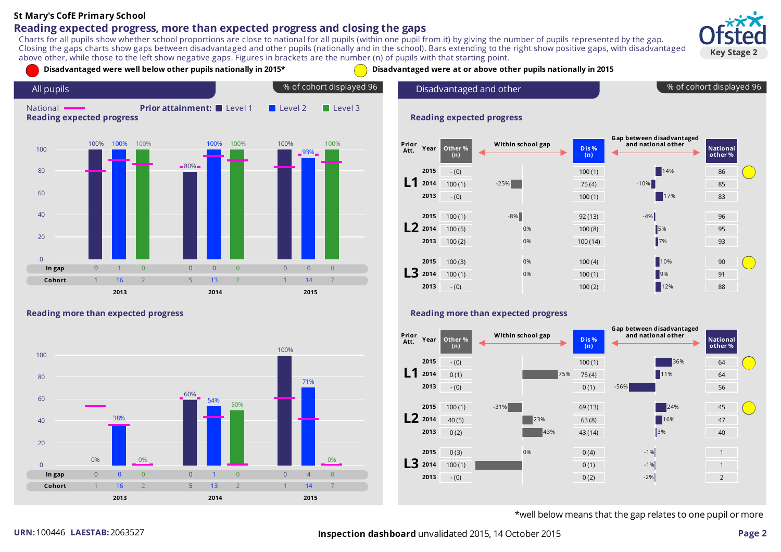### **Reading expected progress, more than expected progress and closing the gaps**

Charts for all pupils show whether school proportions are close to national for all pupils (within one pupil from it) by giving the number of pupils represented by the gap. Closing the gaps charts show gaps between disadvantaged and other pupils (nationally and in the school). Bars extending to the right show positive gaps, with disadvantaged above other, while those to the left show negative gaps. Figures in brackets are the number (n) of pupils with that starting point.





#### **Reading more than expected progress**



% of cohort displayed 96



#### **Reading more than expected progress**



\*well below means that the gap relates to one pupil or more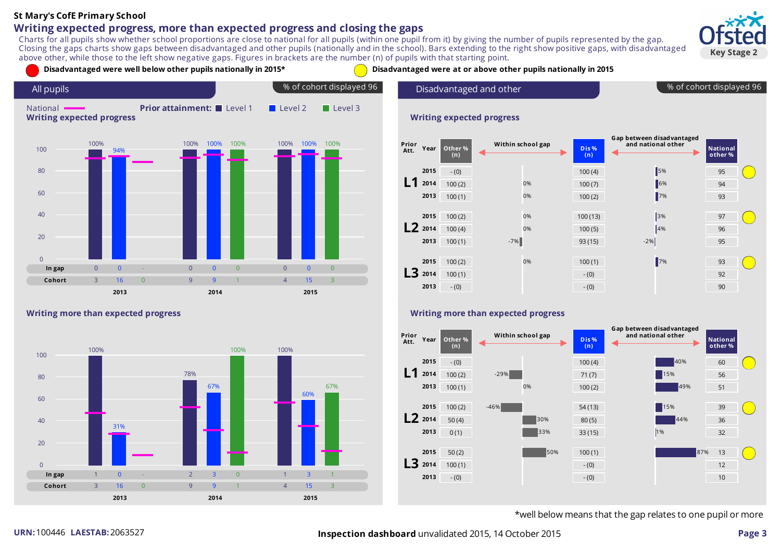### **Writing expected progress, more than expected progress and closing the gaps**

Charts for all pupils show whether school proportions are close to national for all pupils (within one pupil from it) by giving the number of pupils represented by the gap. Closing the gaps charts show gaps between disadvantaged and other pupils (nationally and in the school). Bars extending to the right show positive gaps, with disadvantaged above other, while those to the left show negative gaps. Figures in brackets are the number (n) of pupils with that starting point.





#### **Writing more than expected progress**



% of cohort displayed 96

| Prior<br>Att. | Year      | Other %<br>(n) | Within school gap | Dis%<br>(n) | Gap between disadvantaged<br>and national other | <b>National</b><br>other % |  |
|---------------|-----------|----------------|-------------------|-------------|-------------------------------------------------|----------------------------|--|
|               | 2015      | $- (0)$        |                   | 100(4)      | 5%                                              | 95                         |  |
|               | 2014      | 100(2)         | 0%                | 100(7)      | 6%                                              | 94                         |  |
|               | 2013      | 100(1)         | 0%                | 100(2)      | $\vert$ 7%                                      | 93                         |  |
|               |           |                |                   |             |                                                 |                            |  |
|               | 2015      | 100(2)         | 0%                | 100(13)     | 3%                                              | 97                         |  |
|               | $L2$ 2014 | 100(4)         | 0%                | 100(5)      | 4%                                              | 96                         |  |
|               | 2013      | 100(1)         | $-7%$             | 93(15)      | $-2%$                                           | 95                         |  |
|               |           |                |                   |             |                                                 |                            |  |
|               | 2015      | 100(2)         | 0%                | 100(1)      | $\blacksquare$ 7%                               | 93                         |  |
| 13            | 2014      | 100(1)         |                   | $- (0)$     |                                                 | 92                         |  |
|               | 2013      | $- (0)$        |                   | $- (0)$     |                                                 | 90                         |  |

#### **Writing more than expected progress**



\*well below means that the gap relates to one pupil or more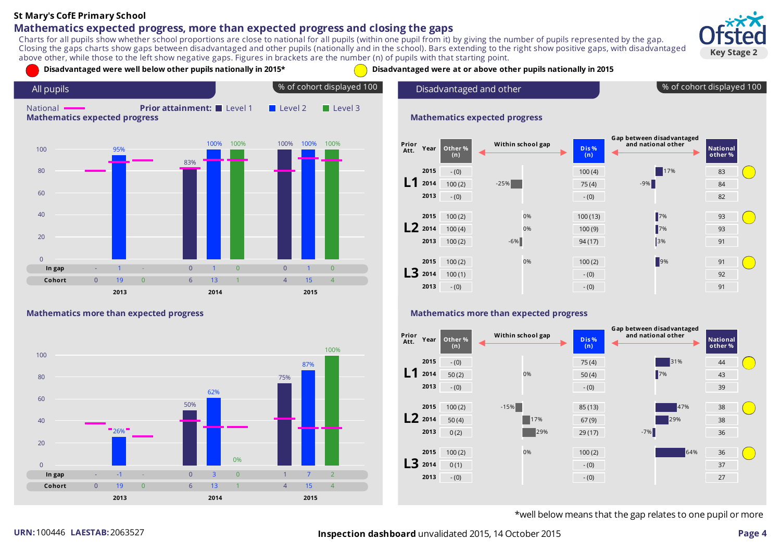### **Mathematics expected progress, more than expected progress and closing the gaps**

Charts for all pupils show whether school proportions are close to national for all pupils (within one pupil from it) by giving the number of pupils represented by the gap. Closing the gaps charts show gaps between disadvantaged and other pupils (nationally and in the school). Bars extending to the right show positive gaps, with disadvantaged above other, while those to the left show negative gaps. Figures in brackets are the number (n) of pupils with that starting point.



% of cohort displayed 100

**National other %**

17%



#### **Mathematics more than expected progress**



#### **Mathematics more than expected progress**



\*well below means that the gap relates to one pupil or more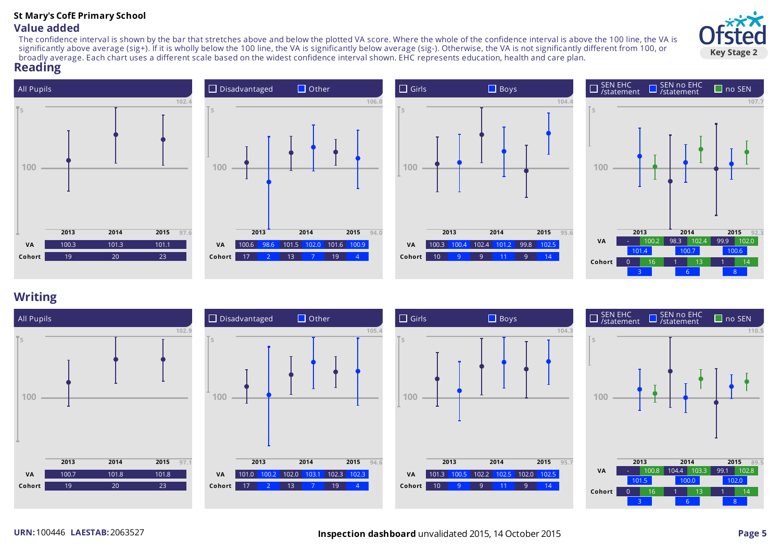### **St Mary's CofE Primary School Value added**

The confidence interval is shown by the bar that stretches above and below the plotted VA score. Where the whole of the confidence interval is above the 100 line, the VA is significantly above average (sig+). If it is wholly below the 100 line, the VA is significantly below average (sig-). Otherwise, the VA is not significantly different from 100, or broadly average. Each chart uses a different scale based on the widest confidence interval shown. EHC represents education, health and care plan.

### **Reading**









### **Writing**



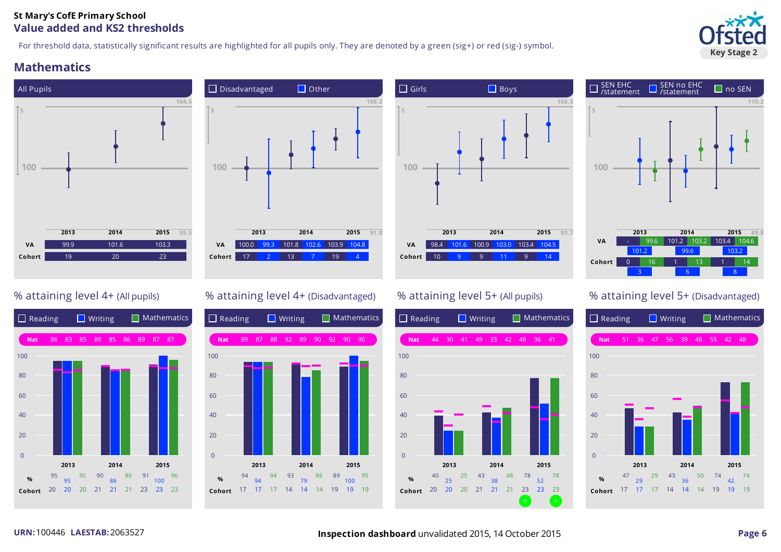### **St Mary's CofE Primary School Value added and KS2 thresholds**

For threshold data, statistically significant results are highlighted for all pupils only. They are denoted by a green (sig+) or red (sig-) symbol.

### **Mathematics**















### % attaining level 4+ (All pupils)  $\%$  attaining level 4+ (Disadvantaged) % attaining level 5+ (All pupils) % attaining level 5+ (Disadvantaged)



# **Key Stage 2**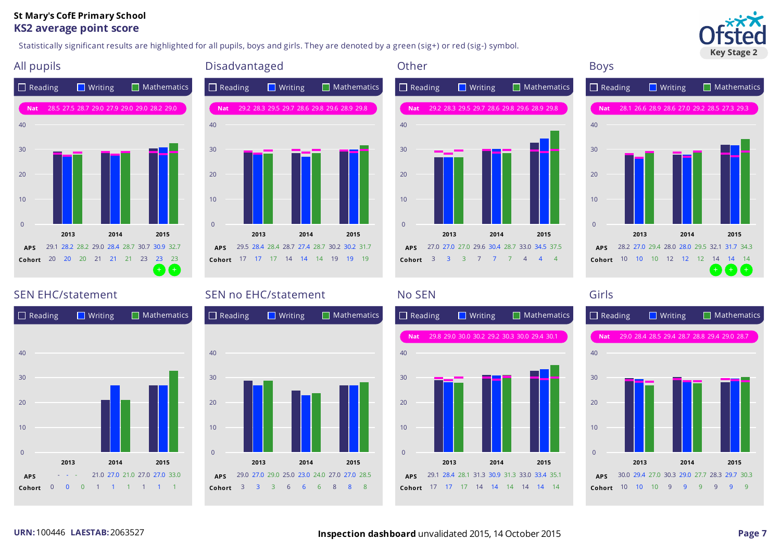#### **St Mary's CofE Primary School KS2 average point score**

Statistically significant results are highlighted for all pupils, boys and girls. They are denoted by a green (sig+) or red (sig-) symbol.



 $+$  +  $+$  + +  $+$ 





## $\Box$  Reading  $\Box$  Writing  $\Box$  Mathematics **2013 2014 2015 APS** 29.5 28.4 28.4 28.7 27.4 28.7 30.2 30.2 31.7 **Cohort** 17 17 17 14 14 14 19 19 19  $\Omega$ 10 20 30 40 **Nat** 29.2 28.3 29.5 29.7 28.6 29.8 29.6 28.9 29.8



# **2013 2014 2015 APS** 28.2 27.0 29.4 28.0 28.0 29.5 32.1 31.7 34.3 **Cohort** 10 10 10 12 12 12 14 14 14 10 20 30

**Nat** 28.1 26.6 28.9 28.6 27.0 29.2 28.5 27.3 29.3



### SEN EHC/statement SEN no EHC/statement No SEN No SEN Girls





 $\Omega$ 

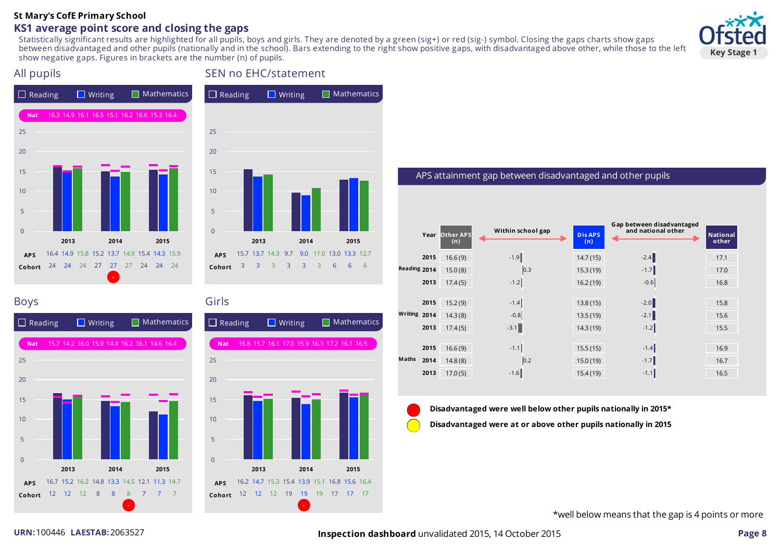### **KS1 average point score and closing the gaps**

Statistically significant results are highlighted for all pupils, boys and girls. They are denoted by a green (sig+) or red (sig-) symbol. Closing the gaps charts show gaps between disadvantaged and other pupils (nationally and in the school). Bars extending to the right show positive gaps, with disadvantaged above other, while those to the left show negative gaps. Figures in brackets are the number (n) of pupils.





### All pupils SEN no EHC/statement  $\Box$  Reading  $\Box$  Writing  $\Box$  Mathematics



### Boys Girls



| Reading $\blacksquare$ Writing |    |      |          |      |       |                                              |      | $\blacksquare$ Mathematics |  |
|--------------------------------|----|------|----------|------|-------|----------------------------------------------|------|----------------------------|--|
| <b>Nat</b>                     |    |      |          |      |       | 16.8 15.7 16.1 17.0 15.9 16.3 17.2 16.1 16.5 |      |                            |  |
| 25                             |    |      |          |      |       |                                              |      |                            |  |
| 20                             |    |      |          |      |       |                                              |      |                            |  |
| 15                             |    |      |          |      |       |                                              |      |                            |  |
| 10                             |    |      |          |      |       |                                              |      |                            |  |
| 5                              |    |      |          |      |       |                                              |      |                            |  |
| $\overline{0}$                 |    |      |          |      |       |                                              |      |                            |  |
|                                |    | 2013 |          | 2014 |       |                                              | 2015 |                            |  |
| <b>APS</b>                     |    |      |          |      |       | 16.2 14.7 15.3 15.4 13.9 15.1 16.8 15.6 16.4 |      |                            |  |
| Cohort                         | 12 |      | 12 12 19 |      | 19 19 | 17                                           | 17   | 17                         |  |

#### APS attainment gap between disadvantaged and other pupils

|              |      | Year Other APS<br>(n) | Within school gap | <b>Dis APS</b><br>(n) | Gap between disadvantaged<br>and national other | <b>National</b><br>other |
|--------------|------|-----------------------|-------------------|-----------------------|-------------------------------------------------|--------------------------|
|              | 2015 | 16.6(9)               | $-1.9$            | 14.7(15)              | $-2.4$                                          | 17.1                     |
| Reading 2014 |      | 15.0(8)               | 0.3               | 15.3(19)              | $-1.7$                                          | 17.0                     |
|              | 2013 | 17.4(5)               | $-1.2$            | 16.2(19)              | $-0.6$                                          | 16.8                     |
|              |      |                       |                   |                       |                                                 |                          |
|              | 2015 | 15.2(9)               | $-1.4$            | 13.8(15)              | $-2.0$                                          | 15.8                     |
| Writing 2014 |      | 14.3(8)               | $-0.8$            | 13.5(19)              | $-2.1$                                          | 15.6                     |
|              | 2013 | 17.4(5)               | $-3.1$            | 14.3(19)              | $-1.2$                                          | 15.5                     |
|              |      |                       |                   |                       |                                                 |                          |
|              | 2015 | 16.6(9)               | $-1.1$            | 15.5(15)              | $-1.4$                                          | 16.9                     |
| Maths        | 2014 | 14.8(8)               | 0.2               | 15.0(19)              | $-1.7$                                          | 16.7                     |
|              | 2013 | 17.0(5)               | $-1.6$            | 15.4(19)              | $-1.1$                                          | 16.5                     |

#### **Disadvantaged were well below other pupils nationally in 2015\***

**Disadvantaged were at or above other pupils nationally in 2015**

\*well below meansthat the gap is 4 points or more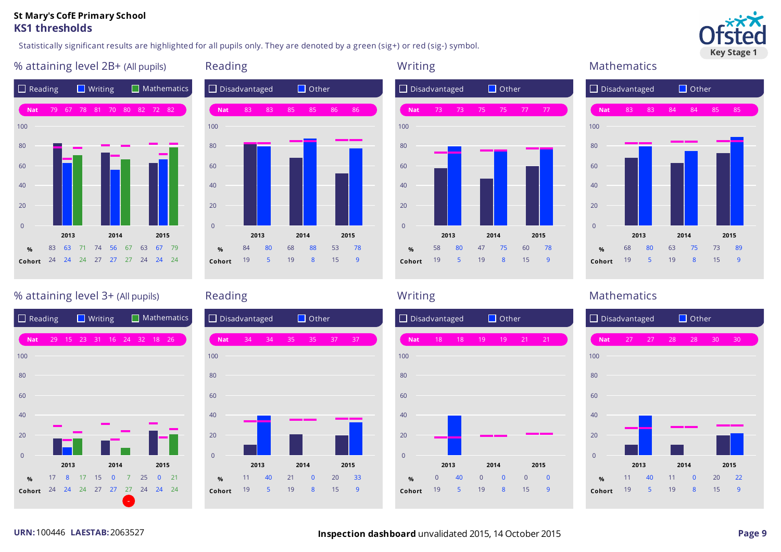#### **St Mary's CofE Primary School KS1 thresholds**

Statistically significant results are highlighted for all pupils only. They are denoted by a green (sig+) or red (sig-) symbol.



### % attaining level 2B+ (All pupils) Reading Mathematics Reading Mathematics Mathematics









### % attaining level 3+ (All pupils) and Reading Reading Mathematics Mathematics Mathematics







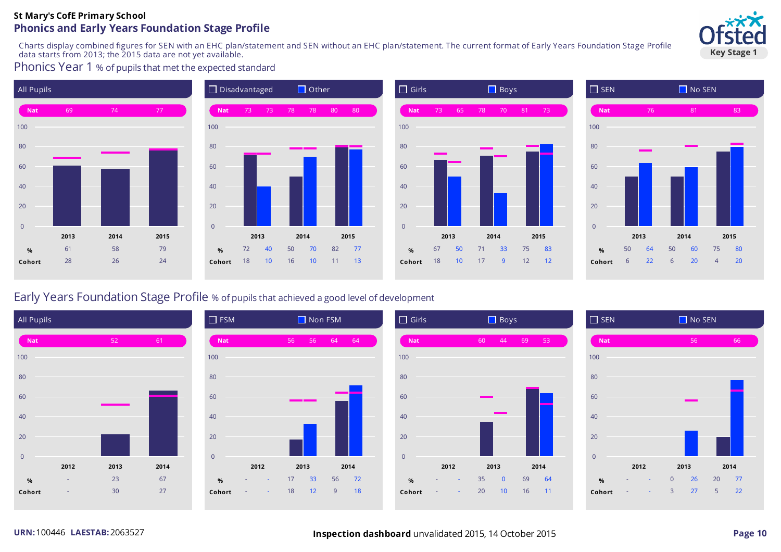#### **St Mary's CofE Primary School Phonics and Early Years Foundation Stage Profile**

Charts display combined figures for SEN with an EHC plan/statement and SEN without an EHC plan/statement. The current format of Early Years Foundation Stage Profile data starts from 2013; the 2015 data are not yet available.

Phonics Year 1 % of pupils that met the expected standard









### Early Years Foundation Stage Profile % of pupilsthat achieved a good level of development









# **Key Stage 1**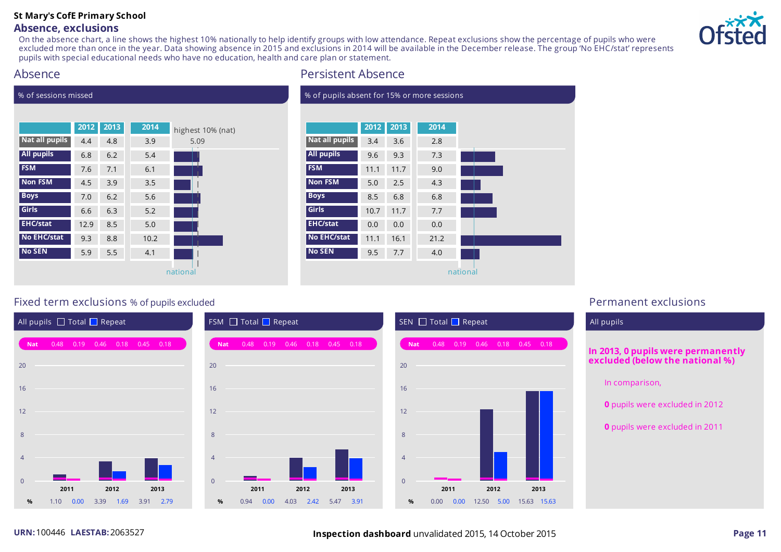### **Absence, exclusions**

On the absence chart, a line shows the highest 10% nationally to help identify groups with low attendance. Repeat exclusions show the percentage of pupils who were excluded more than once in the year. Data showing absence in 2015 and exclusions in 2014 will be available in the December release. The group 'No EHC/stat' represents pupils with special educational needs who have no education, health and care plan or statement.



### Absence

% of sessions missed



### Persistent Absence

f nupils absont for 15% or more sessions

|                       | 2012 | 2013 | 2014 |  |
|-----------------------|------|------|------|--|
| <b>Nat all pupils</b> | 3.4  | 3.6  | 2.8  |  |
| <b>All pupils</b>     | 9.6  | 9.3  | 7.3  |  |
| <b>FSM</b>            | 11.1 | 11.7 | 9.0  |  |
| <b>Non FSM</b>        | 5.0  | 2.5  | 4.3  |  |
| <b>Boys</b>           | 8.5  | 6.8  | 6.8  |  |
| Girls                 | 10.7 | 11.7 | 7.7  |  |
| <b>EHC/stat</b>       | 0.0  | 0.0  | 0.0  |  |
| No EHC/stat           | 11.1 | 16.1 | 21.2 |  |
| <b>No SEN</b>         | 9.5  | 7.7  | 4.0  |  |

### Fixed term exclusions % of pupils excluded **Permanent exclusions**



# **In 2013, 0 pupils were permanently excluded (below the national %)** In comparison, **0** pupils were excluded in 2012 **0** pupils were excluded in 2011